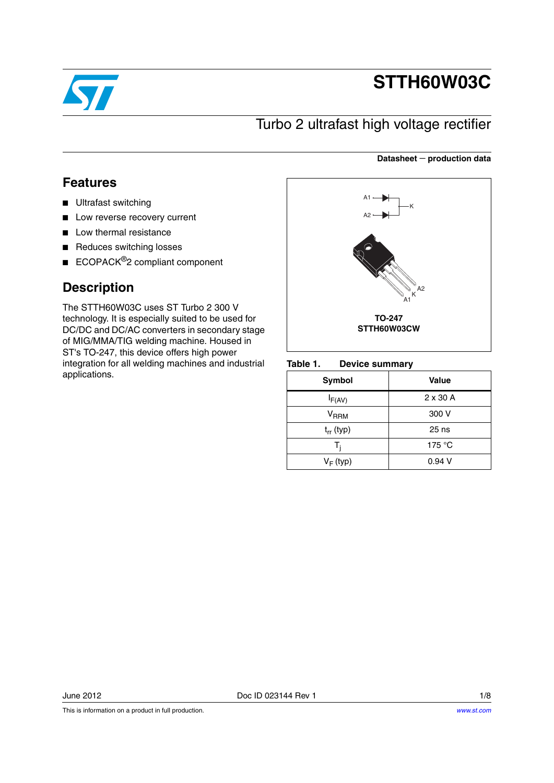

# **STTH60W03C**

**Datasheet** − **production data**

## Turbo 2 ultrafast high voltage rectifier

## **Features**

- Ultrafast switching
- Low reverse recovery current
- Low thermal resistance
- Reduces switching losses
- ECOPACK<sup>®</sup>2 compliant component

## **Description**

The STTH60W03C uses ST Turbo 2 300 V technology. It is especially suited to be used for DC/DC and DC/AC converters in secondary stage of MIG/MMA/TIG welding machine. Housed in ST's TO-247, this device offers high power integration for all welding machines and industrial applications.



#### Table 1 **Device summary**

| Symbol                    | Value           |
|---------------------------|-----------------|
| $I_{F(AV)}$               | $2 \times 30$ A |
| $\mathsf{V}_\mathsf{RRM}$ | 300 V           |
| $t_{rr}$ (typ)            | $25$ ns         |
| т,                        | 175 $\degree$ C |
| $V_F$ (typ)               | 0.94V           |

This is information on a product in full production.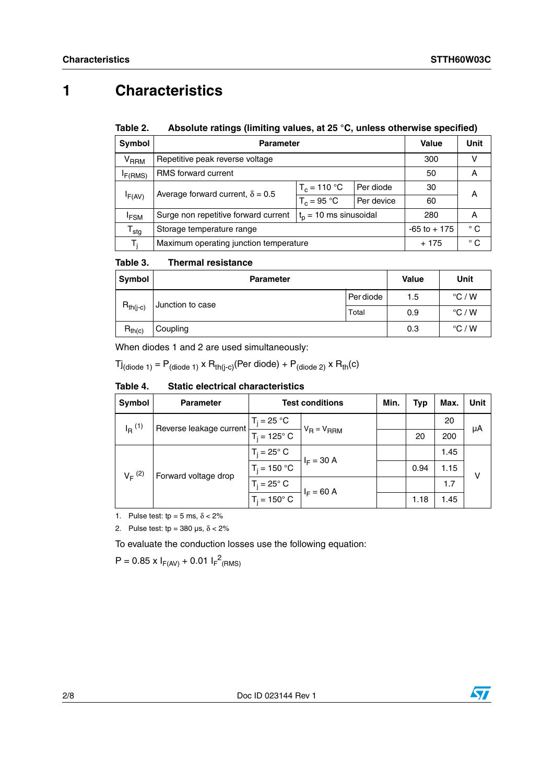## **1 Characteristics**

#### Table 2. Absolute ratings (limiting values, at 25 °C, unless otherwise specified)

| Symbol                    | <b>Parameter</b>                                                | Value           | Unit         |     |   |  |
|---------------------------|-----------------------------------------------------------------|-----------------|--------------|-----|---|--|
| <b>V<sub>RRM</sub></b>    | Repetitive peak reverse voltage                                 | 300             |              |     |   |  |
| I <sub>F(RMS)</sub>       | <b>RMS</b> forward current                                      | 50              | А            |     |   |  |
|                           | Average forward current, $\delta = 0.5$                         | $T_c = 110 °C$  |              | 30  | А |  |
| IF(AV)                    |                                                                 | $T_c = 95 °C$   | Per device   | 60  |   |  |
| <sup>I</sup> FSM          | $tn = 10$ ms sinusoidal<br>Surge non repetitive forward current |                 |              | 280 | A |  |
| $\mathsf{T}_{\text{stg}}$ | Storage temperature range                                       | $-65$ to $+175$ | $^{\circ}$ C |     |   |  |
| T.                        | Maximum operating junction temperature                          | $+175$          | $^{\circ}$ C |     |   |  |

#### Table 3. **Thermal resistance**

| <b>Symbol</b> | <b>Parameter</b> | <b>Value</b> | Unit |                 |
|---------------|------------------|--------------|------|-----------------|
|               | Junction to case | Per diode    | 1.5  | $\degree$ C / W |
| $R_{th(j-c)}$ | Total            |              | 0.9  | $\degree$ C / W |
| $R_{th(c)}$   | Coupling         |              | 0.3  | $\degree$ C / W |

When diodes 1 and 2 are used simultaneously:

 $Tj_{(diode 1)} = P_{(diode 1)} \times R_{th(j-c)}$ (Per diode) +  $P_{(diode 2)} \times R_{th}(c)$ 

#### Table 4. **Static electrical characteristics**

| Symbol               | <b>Parameter</b>        | <b>Test conditions</b> | Min.                            | <b>Typ</b> | Max. | Unit |    |
|----------------------|-------------------------|------------------------|---------------------------------|------------|------|------|----|
| $I_R$ <sup>(1)</sup> | Reverse leakage current | $T_i = 25 °C$          | $V_R = V_{RRM}$<br>$I_F = 30 A$ |            |      | 20   |    |
|                      |                         | $T_i = 125^\circ C$    |                                 |            | 20   | 200  | μA |
| $V_F^{(2)}$          |                         | $T_i = 25^\circ$ C     |                                 |            |      | 1.45 |    |
|                      |                         | $T_i = 150 °C$         |                                 | 0.94       | 1.15 | ν    |    |
|                      | Forward voltage drop    | $T_i = 25^\circ$ C     | $I_F = 60 A$<br>1.18            | 1.7        |      |      |    |
|                      |                         | $T_i = 150^\circ$ C    |                                 |            | 1.45 |      |    |

1. Pulse test: tp = 5 ms,  $\delta$  < 2%

2. Pulse test: tp =  $380 \text{ }\mu\text{s}, \delta < 2\%$ 

To evaluate the conduction losses use the following equation:

 $P = 0.85 \times I_{F(AV)} + 0.01 I_{F}^{2}$ <sub>(RMS)</sub>

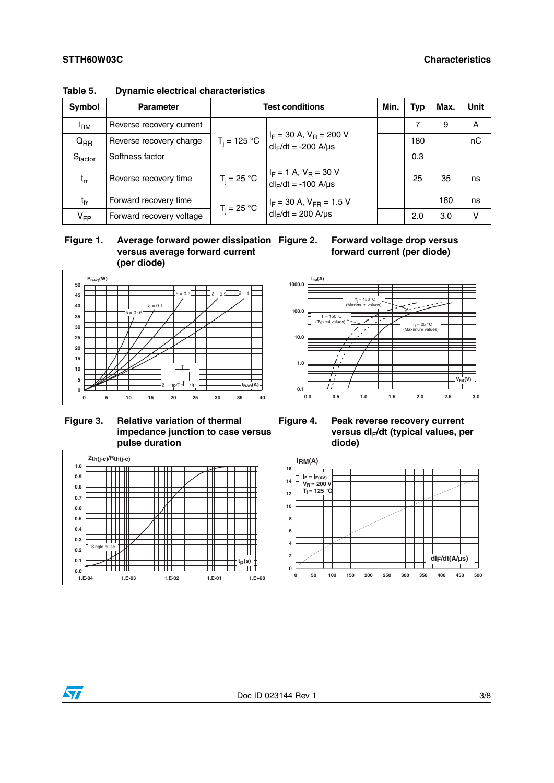| <b>Symbol</b>       | <b>Parameter</b>         | <b>Test conditions</b>                                                        |                                                            |  | <b>Typ</b> | Max. | <b>Unit</b> |
|---------------------|--------------------------|-------------------------------------------------------------------------------|------------------------------------------------------------|--|------------|------|-------------|
| <sup>I</sup> RM     | Reverse recovery current |                                                                               |                                                            |  |            | 9    | A           |
| $Q_{RR}$            | Reverse recovery charge  | $T_i = 125 °C$                                                                | $I_F$ = 30 A, $V_R$ = 200 V<br>$dl_F/dt = -200$ A/ $\mu s$ |  | 180        |      | nC          |
| $S_{\text{factor}}$ | Softness factor          |                                                                               |                                                            |  | 0.3        |      |             |
| $t_{rr}$            | Reverse recovery time    | $T_i = 25 °C$                                                                 | $I_F = 1$ A, $V_R = 30$ V<br>$dl_F/dt = -100$ A/ $\mu s$   |  | 25         | 35   | ns          |
| tfr                 | Forward recovery time    | $I_F$ = 30 A, $V_{FR}$ = 1.5 V<br>$T_i = 25 °C$<br>$dl_F/dt = 200$ A/ $\mu s$ |                                                            |  |            | 180  | ns          |
| $V_{FP}$            | Forward recovery voltage |                                                                               |                                                            |  | 2.0        | 3.0  | v           |

### **Table 5. Dynamic electrical characteristics**

### **Figure 1. Average forward power dissipation versus average forward current (per diode)**

**Forward voltage drop versus forward current (per diode)**



### **Figure 3. Relative variation of thermal impedance junction to case versus pulse duration**



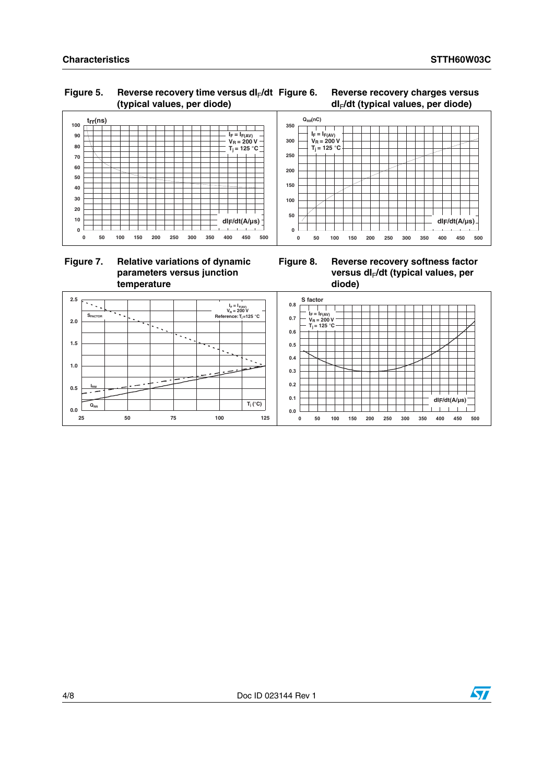**dIF/dt(A/µs)**

 $\perp$ 

### **Characteristics STTH60W03C**

### Figure 5. Reverse recovery time versus dl<sub>F</sub>/dt **(typical values, per diode)**

#### **Figure 6. Reverse recovery charges versus dI**F**/dt (typical values, per diode)**



### **Figure 7. Relative variations of dynamic parameters versus junction temperature**



**0 50 100 150 200 250 300 350 400 450 500**



 $Q_{RR}(nC)$ 

**I = I V = 200 V F F(AV) R T = 125 °C j**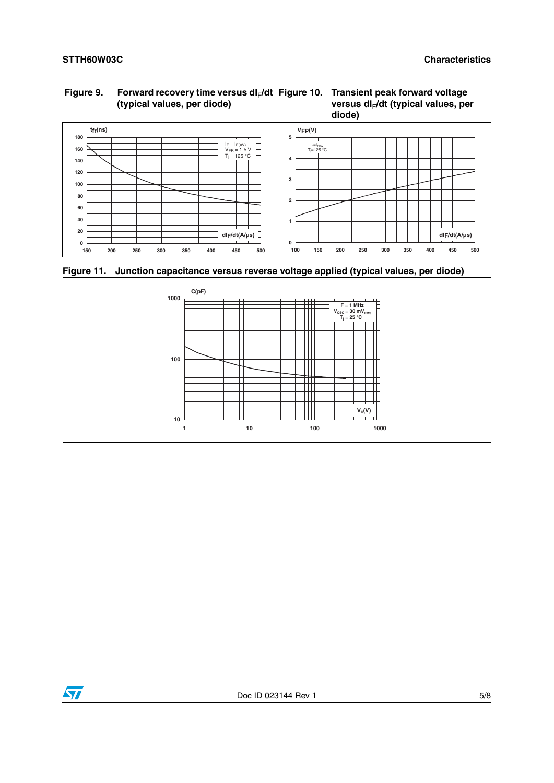### Figure 9. Forward recovery time versus dl<sub>F</sub>/dt Figure 10. Transient peak forward voltage **(typical values, per diode)**





**Figure 11. Junction capacitance versus reverse voltage applied (typical values, per diode)**



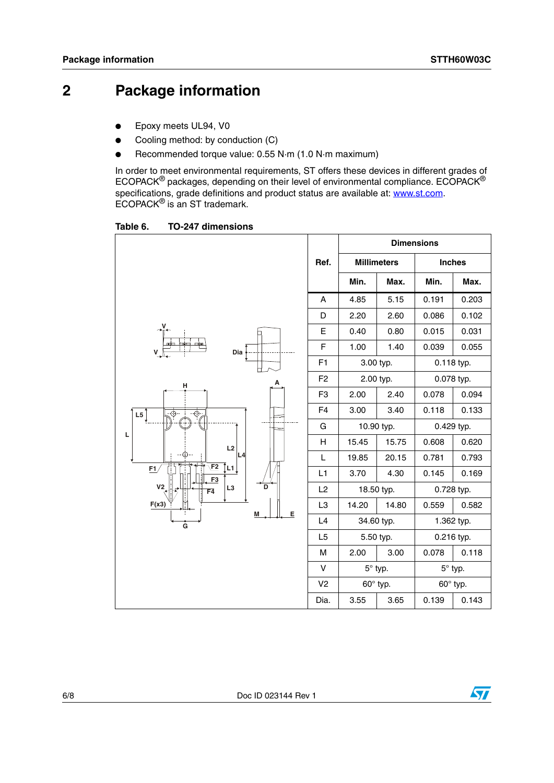## **2 Package information**

- Epoxy meets UL94, V0
- Cooling method: by conduction (C)
- Recommended torque value: 0.55 N·m (1.0 N·m maximum)

In order to meet environmental requirements, ST offers these devices in different grades of ECOPACK® packages, depending on their level of environmental compliance. ECOPACK® specifications, grade definitions and product status are available at: **www.st.com**. ECOPACK® is an ST trademark.

Table 6. **Table 6. TO-247 dimensions**

|                                 |                |                |                    | <b>Dimensions</b> |            |
|---------------------------------|----------------|----------------|--------------------|-------------------|------------|
|                                 | Ref.           |                | <b>Millimeters</b> | <b>Inches</b>     |            |
|                                 |                | Min.           | Max.               | Min.              | Max.       |
|                                 | A              | 4.85           | 5.15               | 0.191             | 0.203      |
|                                 | D              | 2.20           | 2.60               | 0.086             | 0.102      |
| Dia<br>V                        |                | 0.40           | 0.80               | 0.015             | 0.031      |
|                                 |                | 1.00           | 1.40               | 0.039             | 0.055      |
|                                 | F1             |                | 3.00 typ.          | 0.118 typ.        |            |
| н                               | F <sub>2</sub> |                | 2.00 typ.          |                   | 0.078 typ. |
|                                 | F <sub>3</sub> | 2.00           | 2.40               | 0.078             | 0.094      |
| ⊕<br>L5<br>⊕                    | F <sub>4</sub> | 3.00           | 3.40               | 0.118             | 0.133      |
|                                 | G              | 10.90 typ.     |                    | 0.429 typ.        |            |
| L<br>L2                         | H              | 15.45          | 15.75              | 0.608             | 0.620      |
| L4                              | L              | 19.85          | 20.15              | 0.781             | 0.793      |
| E2<br>Î∟1.<br>F1/<br>F3         | L1             | 3.70           | 4.30               | 0.145             | 0.169      |
| V <sub>2</sub><br>D<br>L3<br>F4 | L2             | 18.50 typ.     |                    | 0.728 typ.        |            |
| F(x3)<br>E<br>M                 | L <sub>3</sub> | 14.20          | 14.80              | 0.559             | 0.582      |
| Ġ                               | L4             | 34.60 typ.     |                    | 1.362 typ.        |            |
|                                 | L <sub>5</sub> |                | 5.50 typ.          |                   | 0.216 typ. |
|                                 | M              | 2.00           | 3.00               | 0.078             | 0.118      |
|                                 | v              | $5^\circ$ typ. |                    | $5^\circ$ typ.    |            |
|                                 | V <sub>2</sub> |                | 60° typ.           | 60° typ.          |            |
|                                 | Dia.           | 3.55           | 3.65               | 0.139             | 0.143      |

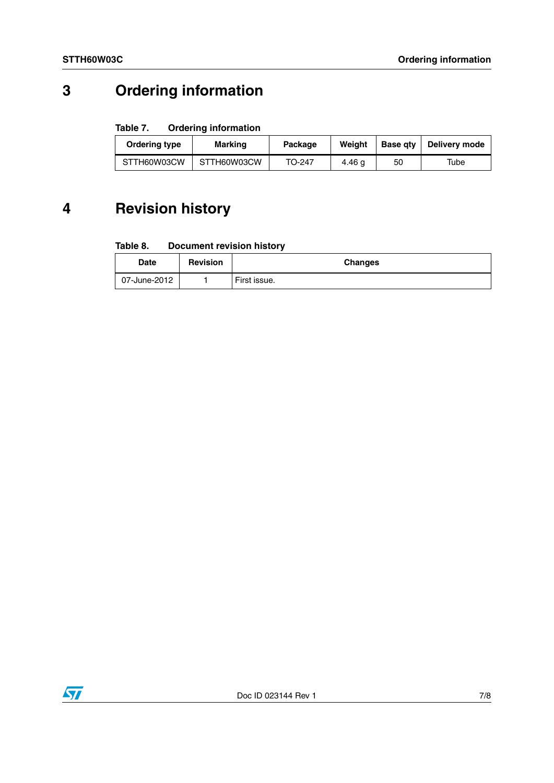## **3 Ordering information**

#### Table 7. **Ordering information**

| Ordering type | Marking     | Package | Weiaht | <b>Base gtv</b> | Delivery mode |
|---------------|-------------|---------|--------|-----------------|---------------|
| STTH60W03CW   | STTH60W03CW | TO-247  | 4.46 g | 50              | Tube          |

## **4 Revision history**

#### Table 8. **Document revision history**

| Date         | <b>Revision</b> | <b>Changes</b> |
|--------------|-----------------|----------------|
| 07-June-2012 |                 | First issue.   |